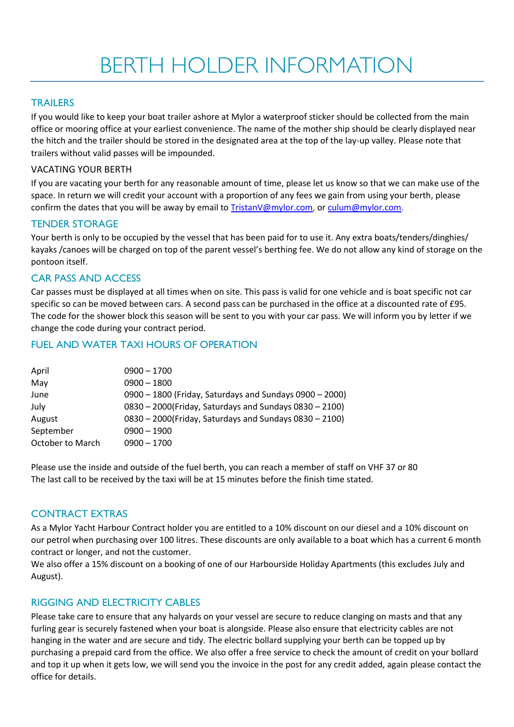### **TRAILERS**

If you would like to keep your boat trailer ashore at Mylor a waterproof sticker should be collected from the main office or mooring office at your earliest convenience. The name of the mother ship should be clearly displayed near the hitch and the trailer should be stored in the designated area at the top of the lay-up valley. Please note that trailers without valid passes will be impounded.

#### VACATING YOUR BERTH

If you are vacating your berth for any reasonable amount of time, please let us know so that we can make use of the space. In return we will credit your account with a proportion of any fees we gain from using your berth, please confirm the dates that you will be away by email to [TristanV@mylor.com,](mailto:TristanV@mylor.com) or [culum@mylor.com.](mailto:culum@mylor.com)

#### TENDER STORAGE

Your berth is only to be occupied by the vessel that has been paid for to use it. Any extra boats/tenders/dinghies/ kayaks /canoes will be charged on top of the parent vessel's berthing fee. We do not allow any kind of storage on the pontoon itself.

### CAR PASS AND ACCESS

Car passes must be displayed at all times when on site. This pass is valid for one vehicle and is boat specific not car specific so can be moved between cars. A second pass can be purchased in the office at a discounted rate of £95. The code for the shower block this season will be sent to you with your car pass. We will inform you by letter if we change the code during your contract period.

### FUEL AND WATER TAXI HOURS OF OPERATION

| April            | $0900 - 1700$                                           |
|------------------|---------------------------------------------------------|
| May              | $0900 - 1800$                                           |
| June             | 0900 - 1800 (Friday, Saturdays and Sundays 0900 - 2000) |
| July             | 0830 - 2000(Friday, Saturdays and Sundays 0830 - 2100)  |
| August           | 0830 - 2000(Friday, Saturdays and Sundays 0830 - 2100)  |
| September        | $0900 - 1900$                                           |
| October to March | $0900 - 1700$                                           |

Please use the inside and outside of the fuel berth, you can reach a member of staff on VHF 37 or 80 The last call to be received by the taxi will be at 15 minutes before the finish time stated.

#### CONTRACT EXTRAS

As a Mylor Yacht Harbour Contract holder you are entitled to a 10% discount on our diesel and a 10% discount on our petrol when purchasing over 100 litres. These discounts are only available to a boat which has a current 6 month contract or longer, and not the customer.

We also offer a 15% discount on a booking of one of our Harbourside Holiday Apartments (this excludes July and August).

## RIGGING AND ELECTRICITY CABLES

Please take care to ensure that any halyards on your vessel are secure to reduce clanging on masts and that any furling gear is securely fastened when your boat is alongside. Please also ensure that electricity cables are not hanging in the water and are secure and tidy. The electric bollard supplying your berth can be topped up by purchasing a prepaid card from the office. We also offer a free service to check the amount of credit on your bollard and top it up when it gets low, we will send you the invoice in the post for any credit added, again please contact the office for details.